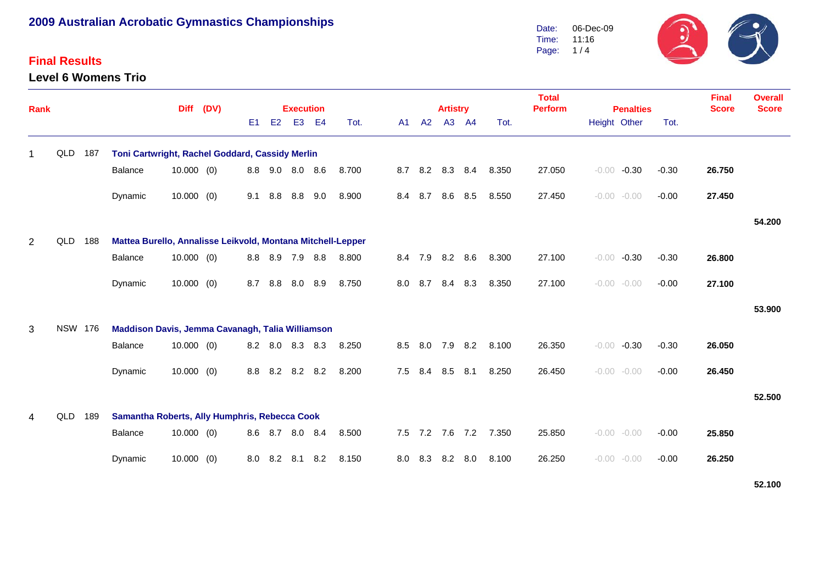### **Final Results**

**Level 6 Womens Trio**



| <b>Rank</b>    |                |     |                                                             | <b>Diff</b>  | (DV) |     |                | <b>Execution</b> |                |       |     |                 | <b>Artistry</b> |       |       | <b>Total</b><br><b>Perform</b><br><b>Penalties</b> |                |         | <b>Final</b><br><b>Score</b> | <b>Overall</b><br><b>Score</b> |        |
|----------------|----------------|-----|-------------------------------------------------------------|--------------|------|-----|----------------|------------------|----------------|-------|-----|-----------------|-----------------|-------|-------|----------------------------------------------------|----------------|---------|------------------------------|--------------------------------|--------|
|                |                |     |                                                             |              |      | E1  | E <sub>2</sub> | E <sub>3</sub>   | E <sub>4</sub> | Tot.  | A1  | A2              |                 | A3 A4 | Tot.  |                                                    | Height Other   |         | Tot.                         |                                |        |
| -1             | QLD            | 187 | Toni Cartwright, Rachel Goddard, Cassidy Merlin             |              |      |     |                |                  |                |       |     |                 |                 |       |       |                                                    |                |         |                              |                                |        |
|                |                |     | Balance                                                     | $10.000$ (0) |      | 8.8 | 9.0            | 8.0 8.6          |                | 8.700 | 8.7 | 8.2             | 8.3             | 8.4   | 8.350 | 27.050                                             | $-0.00$        | $-0.30$ | $-0.30$                      | 26.750                         |        |
|                |                |     | Dynamic                                                     | 10.000(0)    |      | 9.1 | 8.8            | 8.8              | 9.0            | 8.900 | 8.4 | 8.7             | 8.6             | 8.5   | 8.550 | 27.450                                             | $-0.00 - 0.00$ |         | $-0.00$                      | 27.450                         |        |
|                |                |     |                                                             |              |      |     |                |                  |                |       |     |                 |                 |       |       |                                                    |                |         |                              |                                | 54.200 |
| $\overline{2}$ | QLD            | 188 | Mattea Burello, Annalisse Leikvold, Montana Mitchell-Lepper |              |      |     |                |                  |                |       |     |                 |                 |       |       |                                                    |                |         |                              |                                |        |
|                |                |     | Balance                                                     | $10.000$ (0) |      | 8.8 | 8.9            | 7.9              | 8.8            | 8.800 | 8.4 | 7.9             | 8.2             | 8.6   | 8.300 | 27.100                                             | $-0.00$        | $-0.30$ | $-0.30$                      | 26.800                         |        |
|                |                |     | Dynamic                                                     | 10.000(0)    |      | 8.7 | 8.8            | 8.0              | 8.9            | 8.750 | 8.0 | 8.7             | 8.4             | 8.3   | 8.350 | 27.100                                             | $-0.00 - 0.00$ |         | $-0.00$                      | 27.100                         |        |
|                |                |     |                                                             |              |      |     |                |                  |                |       |     |                 |                 |       |       |                                                    |                |         |                              |                                | 53.900 |
| 3              | <b>NSW 176</b> |     | Maddison Davis, Jemma Cavanagh, Talia Williamson            |              |      |     |                |                  |                |       |     |                 |                 |       |       |                                                    |                |         |                              |                                |        |
|                |                |     | <b>Balance</b>                                              | $10.000$ (0) |      | 8.2 | 8.0            | 8.3              | 8.3            | 8.250 |     | 8.5 8.0         | 7.9             | 8.2   | 8.100 | 26.350                                             | $-0.00$        | $-0.30$ | $-0.30$                      | 26.050                         |        |
|                |                |     | Dynamic                                                     | $10.000$ (0) |      | 8.8 |                | 8.2 8.2 8.2      |                | 8.200 | 7.5 | 8.4 8.5         |                 | 8.1   | 8.250 | 26.450                                             | $-0.00 - 0.00$ |         | $-0.00$                      | 26.450                         |        |
|                |                |     |                                                             |              |      |     |                |                  |                |       |     |                 |                 |       |       |                                                    |                |         |                              |                                | 52.500 |
| 4              | QLD            | 189 | Samantha Roberts, Ally Humphris, Rebecca Cook               |              |      |     |                |                  |                |       |     |                 |                 |       |       |                                                    |                |         |                              |                                |        |
|                |                |     | Balance                                                     | $10.000$ (0) |      |     |                | 8.6 8.7 8.0 8.4  |                | 8.500 |     | 7.5 7.2 7.6 7.2 |                 |       | 7.350 | 25.850                                             | $-0.00 - 0.00$ |         | $-0.00$                      | 25.850                         |        |
|                |                |     | Dynamic                                                     | $10.000$ (0) |      | 8.0 | 8.2            | 8.1              | 8.2            | 8.150 | 8.0 | 8.3             | 8.2             | 8.0   | 8.100 | 26.250                                             | $-0.00 - 0.00$ |         | $-0.00$                      | 26.250                         |        |

**52.100**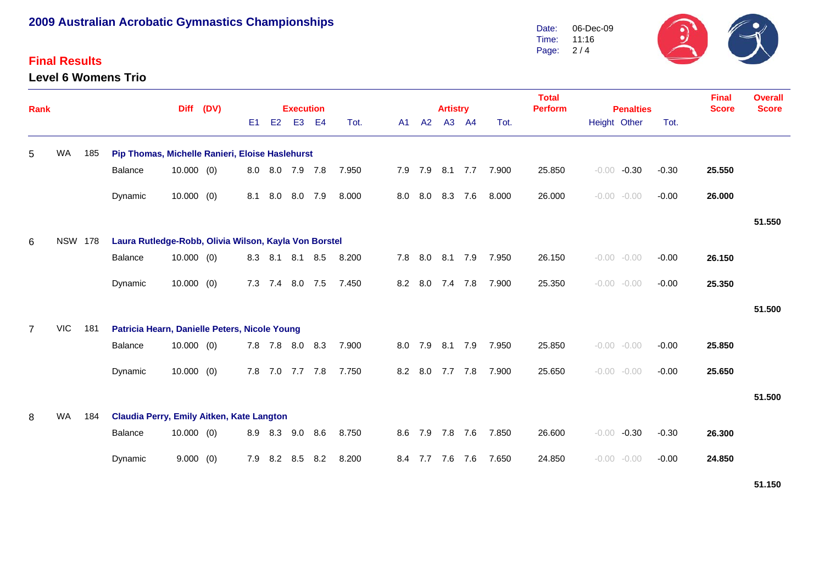### **Final Results**

**Level 6 Womens Trio**



| Rank           |                |     |                                                       | <b>Diff</b>  | (DV) |     | <b>Execution</b> |                 |     |       |  |     |     | <b>Artistry</b> |         |       | <b>Total</b><br><b>Perform</b><br><b>Penalties</b> |                |         |         | <b>Final</b><br><b>Score</b> | <b>Overall</b><br><b>Score</b> |
|----------------|----------------|-----|-------------------------------------------------------|--------------|------|-----|------------------|-----------------|-----|-------|--|-----|-----|-----------------|---------|-------|----------------------------------------------------|----------------|---------|---------|------------------------------|--------------------------------|
|                |                |     |                                                       |              |      | E1  | E2               | E <sub>3</sub>  | E4  | Tot.  |  | A1  | A2  |                 | A3 A4   | Tot.  |                                                    | Height Other   |         | Tot.    |                              |                                |
| 5              | WA             | 185 | Pip Thomas, Michelle Ranieri, Eloise Haslehurst       |              |      |     |                  |                 |     |       |  |     |     |                 |         |       |                                                    |                |         |         |                              |                                |
|                |                |     | <b>Balance</b>                                        | $10.000$ (0) |      |     |                  | 8.0 8.0 7.9 7.8 |     | 7.950 |  | 7.9 | 7.9 |                 | 8.1 7.7 | 7.900 | 25.850                                             | $-0.00$        | $-0.30$ | $-0.30$ | 25.550                       |                                |
|                |                |     | Dynamic                                               | $10.000$ (0) |      | 8.1 | 8.0              | 8.0             | 7.9 | 8.000 |  | 8.0 | 8.0 | 8.3             | 7.6     | 8.000 | 26.000                                             | $-0.00 - 0.00$ |         | $-0.00$ | 26.000                       |                                |
|                |                |     |                                                       |              |      |     |                  |                 |     |       |  |     |     |                 |         |       |                                                    |                |         |         |                              | 51.550                         |
| 6              | <b>NSW 178</b> |     | Laura Rutledge-Robb, Olivia Wilson, Kayla Von Borstel |              |      |     |                  |                 |     |       |  |     |     |                 |         |       |                                                    |                |         |         |                              |                                |
|                |                |     | <b>Balance</b>                                        | $10.000$ (0) |      | 8.3 | 8.1              | 8.1             | 8.5 | 8.200 |  | 7.8 | 8.0 | 8.1             | 7.9     | 7.950 | 26.150                                             | $-0.00 - 0.00$ |         | $-0.00$ | 26.150                       |                                |
|                |                |     | Dynamic                                               | $10.000$ (0) |      | 7.3 | 7.4              | 8.0 7.5         |     | 7.450 |  | 8.2 | 8.0 | 7.4             | 7.8     | 7.900 | 25.350                                             | $-0.00 - 0.00$ |         | $-0.00$ | 25.350                       |                                |
|                |                |     |                                                       |              |      |     |                  |                 |     |       |  |     |     |                 |         |       |                                                    |                |         |         |                              | 51.500                         |
| $\overline{7}$ | <b>VIC</b>     | 181 | Patricia Hearn, Danielle Peters, Nicole Young         |              |      |     |                  |                 |     |       |  |     |     |                 |         |       |                                                    |                |         |         |                              |                                |
|                |                |     | <b>Balance</b>                                        | $10.000$ (0) |      |     | 7.8 7.8          | 8.0             | 8.3 | 7.900 |  | 8.0 | 7.9 | 8.1             | 7.9     | 7.950 | 25.850                                             | $-0.00 - 0.00$ |         | $-0.00$ | 25.850                       |                                |
|                |                |     | Dynamic                                               | $10.000$ (0) |      | 7.8 | 7.0              | 7.7 7.8         |     | 7.750 |  | 8.2 | 8.0 | 7.7             | 7.8     | 7.900 | 25.650                                             | $-0.00 - 0.00$ |         | $-0.00$ | 25.650                       |                                |
|                |                |     |                                                       |              |      |     |                  |                 |     |       |  |     |     |                 |         |       |                                                    |                |         |         |                              | 51.500                         |
| 8              | WA             | 184 | Claudia Perry, Emily Aitken, Kate Langton             |              |      |     |                  |                 |     |       |  |     |     |                 |         |       |                                                    |                |         |         |                              |                                |
|                |                |     | <b>Balance</b>                                        | $10.000$ (0) |      | 8.9 | 8.3              | 9.0             | 8.6 | 8.750 |  | 8.6 | 7.9 | 7.8             | 7.6     | 7.850 | 26.600                                             | $-0.00$        | $-0.30$ | $-0.30$ | 26.300                       |                                |
|                |                |     | Dynamic                                               | 9.000(0)     |      | 7.9 | 8.2              | 8.5             | 8.2 | 8.200 |  | 8.4 | 7.7 | 7.6             | 7.6     | 7.650 | 24.850                                             | $-0.00$        | $-0.00$ | $-0.00$ | 24.850                       |                                |

**51.150**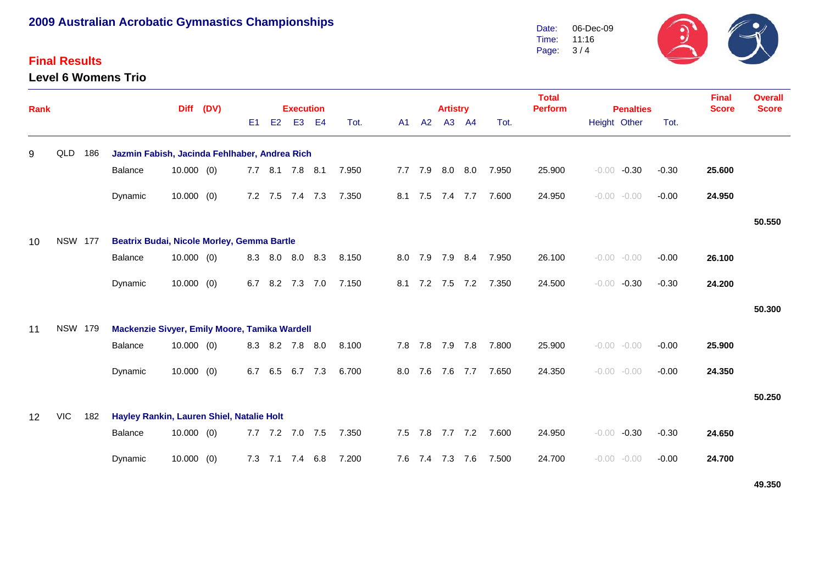### **Final Results**

**Level 6 Womens Trio**



| <b>Rank</b> |                |     |                                               | <b>Diff</b>  | (DV) |                |             | <b>Execution</b> |     |       |     |         | <b>Artistry</b> |                 |       | <b>Total</b><br><b>Perform</b> | <b>Penalties</b>   |         | <b>Final</b><br><b>Score</b> | <b>Overall</b><br><b>Score</b> |
|-------------|----------------|-----|-----------------------------------------------|--------------|------|----------------|-------------|------------------|-----|-------|-----|---------|-----------------|-----------------|-------|--------------------------------|--------------------|---------|------------------------------|--------------------------------|
|             |                |     |                                               |              |      | E <sub>1</sub> | E2          | E <sub>3</sub>   | E4  | Tot.  | A1  | A2      |                 | A3 A4           | Tot.  |                                | Height Other       | Tot.    |                              |                                |
| 9           | QLD 186        |     | Jazmin Fabish, Jacinda Fehlhaber, Andrea Rich |              |      |                |             |                  |     |       |     |         |                 |                 |       |                                |                    |         |                              |                                |
|             |                |     | Balance                                       | $10.000$ (0) |      |                |             | 7.7 8.1 7.8 8.1  |     | 7.950 |     | 7.7 7.9 |                 | $8.0\quad 8.0$  | 7.950 | 25.900                         | $-0.30$<br>$-0.00$ | $-0.30$ | 25.600                       |                                |
|             |                |     | Dynamic                                       | $10.000$ (0) |      |                |             | 7.2 7.5 7.4 7.3  |     | 7.350 | 8.1 | 7.5     | 7.4             | 7.7             | 7.600 | 24.950                         | $-0.00 - 0.00$     | $-0.00$ | 24.950                       |                                |
|             |                |     |                                               |              |      |                |             |                  |     |       |     |         |                 |                 |       |                                |                    |         |                              | 50.550                         |
| 10          | <b>NSW 177</b> |     | Beatrix Budai, Nicole Morley, Gemma Bartle    |              |      |                |             |                  |     |       |     |         |                 |                 |       |                                |                    |         |                              |                                |
|             |                |     | Balance                                       | $10.000$ (0) |      | 8.3            | 8.0         | 8.0              | 8.3 | 8.150 | 8.0 | 7.9     | 7.9             | 8.4             | 7.950 | 26.100                         | $-0.00 - 0.00$     | $-0.00$ | 26.100                       |                                |
|             |                |     | Dynamic                                       | $10.000$ (0) |      | 6.7            | 8.2         | 7.3 7.0          |     | 7.150 | 8.1 |         | 7.2 7.5         | 7.2             | 7.350 | 24.500                         | $-0.30$<br>$-0.00$ | $-0.30$ | 24.200                       |                                |
|             |                |     |                                               |              |      |                |             |                  |     |       |     |         |                 |                 |       |                                |                    |         |                              | 50.300                         |
| 11          | <b>NSW 179</b> |     | Mackenzie Sivyer, Emily Moore, Tamika Wardell |              |      |                |             |                  |     |       |     |         |                 |                 |       |                                |                    |         |                              |                                |
|             |                |     | Balance                                       | $10.000$ (0) |      |                |             | 8.3 8.2 7.8      | 8.0 | 8.100 |     |         |                 | 7.8 7.8 7.9 7.8 | 7.800 | 25.900                         | $-0.00 - 0.00$     | $-0.00$ | 25.900                       |                                |
|             |                |     | Dynamic                                       | $10.000$ (0) |      | 6.7            | 6.5         | 6.7              | 7.3 | 6.700 | 8.0 | 7.6     | 7.6             | 7.7             | 7.650 | 24.350                         | $-0.00 - 0.00$     | $-0.00$ | 24.350                       |                                |
|             |                |     |                                               |              |      |                |             |                  |     |       |     |         |                 |                 |       |                                |                    |         |                              | 50.250                         |
| 12          | VIC            | 182 | Hayley Rankin, Lauren Shiel, Natalie Holt     |              |      |                |             |                  |     |       |     |         |                 |                 |       |                                |                    |         |                              |                                |
|             |                |     | Balance                                       | $10.000$ (0) |      |                |             | 7.7 7.2 7.0 7.5  |     | 7.350 |     |         |                 | 7.5 7.8 7.7 7.2 | 7.600 | 24.950                         | $-0.30$<br>$-0.00$ | $-0.30$ | 24.650                       |                                |
|             |                |     | Dynamic                                       | $10.000$ (0) |      |                | $7.3$ $7.1$ | 7.4              | 6.8 | 7.200 |     |         | 7.6 7.4 7.3 7.6 |                 | 7.500 | 24.700                         | $-0.00 - 0.00$     | $-0.00$ | 24.700                       |                                |

**49.350**